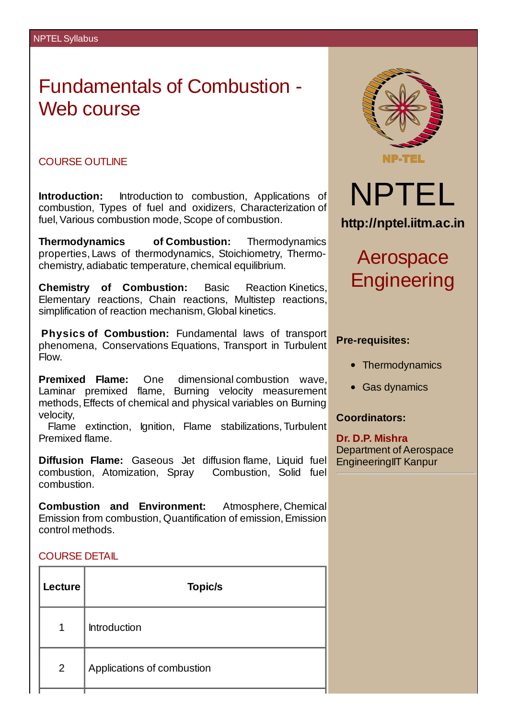# Fundamentals of Combustion - Web course

#### COURSE OUTLINE

**Introduction:** Introduction to combustion, Applications of combustion, Types of fuel and oxidizers, Characterization of fuel, Various combustion mode, Scope of combustion.

**Thermodynamics of Combustion:** Thermodynamics properties, Laws of thermodynamics, Stoichiometry, Thermochemistry, adiabatic temperature, chemical equilibrium.

**Chemistry of Combustion:** Basic Reaction Kinetics, Elementary reactions, Chain reactions, Multistep reactions, simplification of reaction mechanism, Global kinetics.

**Physics of Combustion:** Fundamental laws of transport phenomena, Conservations Equations, Transport in Turbulent Flow.

**Premixed Flame:** One dimensional combustion wave, Laminar premixed flame, Burning velocity measurement methods,Effects of chemical and physical variables on Burning velocity,

Flame extinction, Ignition, Flame stabilizations, Turbulent Premixed flame.

**Diffusion Flame:** Gaseous Jet diffusion flame, Liquid fuel combustion, Atomization, Spray Combustion, Solid fuel combustion.

**Combustion and Environment:** Atmosphere, Chemical Emission from combustion, Quantification of emission,Emission control methods.

#### COURSE DETAIL

| Lecture | <b>Topic/s</b>             |
|---------|----------------------------|
| 1       | <b>Introduction</b>        |
| 2       | Applications of combustion |



NPTEL

**http://nptel.iitm.ac.in**

# Aerospace **Engineering**

### **Pre-requisites:**

- Thermodynamics
- Gas dynamics

### **Coordinators:**

**Dr. D.P. Mishra** Department of Aerospace EngineeringIIT Kanpur